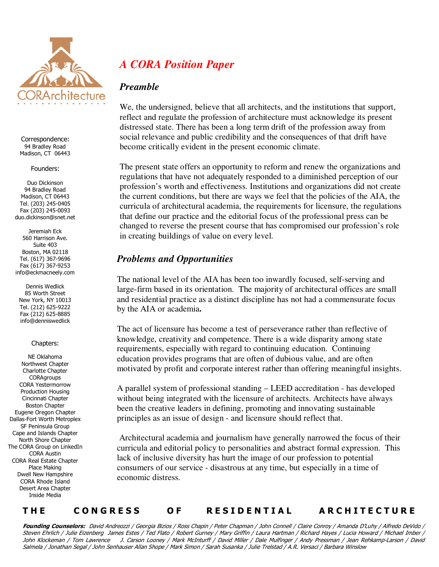

Correspondence: 94 Bradley Road Madison, CT 06443

#### Founders:

Duo Dickinson 94 Bradley Road Madison, CT 06443 Tel. (203) 245-0405 Fax (203) 245-0093 duo.dickinson@snet.net

Jeremiah Eck 560 Harrison Ave. Suite 403 Boston, MA 02118 Tel. (617) 367-9696 Fax (617) 367-9253 info@eckmacneely.com

Dennis Wedlick 85 Worth Street New York, NY 10013 Tel. (212) 625-9222 Fax (212) 625-8885 info@denniswedlick

### Chapters:

NE Oklahoma Northwest Chapter Charlotte Chapter **CORAgroups** CORA Yestermorrow Production Housing Cincinnati Chapter Boston Chapter Eugene Oregon Chapter Dallas-Fort Worth Metroplex SF Peninsula Group Cape and Islands Chapter North Shore Chapter The CORA Group on LinkedIn CORA Austin CORA Real Estate Chapter Place Making Dwell New Hampshire CORA Rhode Island Desert Area Chapter Inside Media

# *A CORA Position Paper*

## *Preamble*

We, the undersigned, believe that all architects, and the institutions that support, reflect and regulate the profession of architecture must acknowledge its present distressed state. There has been a long term drift of the profession away from social relevance and public credibility and the consequences of that drift have become critically evident in the present economic climate.

The present state offers an opportunity to reform and renew the organizations and regulations that have not adequately responded to a diminished perception of our profession's worth and effectiveness. Institutions and organizations did not create the current conditions, but there are ways we feel that the policies of the AIA, the curricula of architectural academia, the requirements for licensure, the regulations that define our practice and the editorial focus of the professional press can be changed to reverse the present course that has compromised our profession's role in creating buildings of value on every level.

# *Problems and Opportunities*

The national level of the AIA has been too inwardly focused, self-serving and large-firm based in its orientation. The majority of architectural offices are small and residential practice as a distinct discipline has not had a commensurate focus by the AIA or academia**.** 

The act of licensure has become a test of perseverance rather than reflective of knowledge, creativity and competence. There is a wide disparity among state requirements, especially with regard to continuing education. Continuing education provides programs that are often of dubious value, and are often motivated by profit and corporate interest rather than offering meaningful insights.

A parallel system of professional standing – LEED accreditation - has developed without being integrated with the licensure of architects. Architects have always been the creative leaders in defining, promoting and innovating sustainable principles as an issue of design - and licensure should reflect that.

 Architectural academia and journalism have generally narrowed the focus of their curricula and editorial policy to personalities and abstract formal expression. This lack of inclusive diversity has hurt the image of our profession to potential consumers of our service - disastrous at any time, but especially in a time of economic distress.

## THE CONGRESS OF RESIDENTIAL ARCHITECTURE

**Founding Counselors:** David Andreozzi / Georgia Bizios / Ross Chapin / Peter Chapman / John Connell / Claire Conroy / Amanda D'Luhy / Alfredo DeVido / Steven Ehrlich / Julie Eizenberg James Estes / Ted Flato / Robert Gurney / Mary Griffin / Laura Hartman / Richard Hayes / Lucia Howard / Michael Imber / John Klockeman / Tom Lawrence J. Carson Looney / Mark McInturff / David Miller / Dale Mulfinger / Andy Pressman / Jean Rehkamp-Larson / David Salmela / Jonathan Segal / John Senhauser Allan Shope / Mark Simon / Sarah Susanka / Julie Trelstad / A.R. Versaci / Barbara Winslow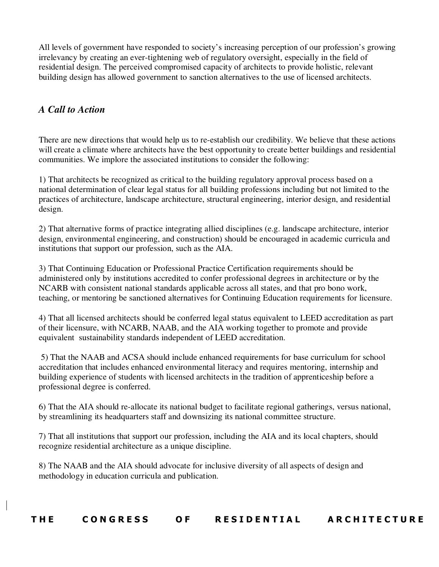All levels of government have responded to society's increasing perception of our profession's growing irrelevancy by creating an ever-tightening web of regulatory oversight, especially in the field of residential design. The perceived compromised capacity of architects to provide holistic, relevant building design has allowed government to sanction alternatives to the use of licensed architects.

# *A Call to Action*

There are new directions that would help us to re-establish our credibility. We believe that these actions will create a climate where architects have the best opportunity to create better buildings and residential communities. We implore the associated institutions to consider the following:

1) That architects be recognized as critical to the building regulatory approval process based on a national determination of clear legal status for all building professions including but not limited to the practices of architecture, landscape architecture, structural engineering, interior design, and residential design.

2) That alternative forms of practice integrating allied disciplines (e.g. landscape architecture, interior design, environmental engineering, and construction) should be encouraged in academic curricula and institutions that support our profession, such as the AIA.

3) That Continuing Education or Professional Practice Certification requirements should be administered only by institutions accredited to confer professional degrees in architecture or by the NCARB with consistent national standards applicable across all states, and that pro bono work, teaching, or mentoring be sanctioned alternatives for Continuing Education requirements for licensure.

4) That all licensed architects should be conferred legal status equivalent to LEED accreditation as part of their licensure, with NCARB, NAAB, and the AIA working together to promote and provide equivalent sustainability standards independent of LEED accreditation.

 5) That the NAAB and ACSA should include enhanced requirements for base curriculum for school accreditation that includes enhanced environmental literacy and requires mentoring, internship and building experience of students with licensed architects in the tradition of apprenticeship before a professional degree is conferred.

6) That the AIA should re-allocate its national budget to facilitate regional gatherings, versus national, by streamlining its headquarters staff and downsizing its national committee structure.

7) That all institutions that support our profession, including the AIA and its local chapters, should recognize residential architecture as a unique discipline.

8) The NAAB and the AIA should advocate for inclusive diversity of all aspects of design and methodology in education curricula and publication.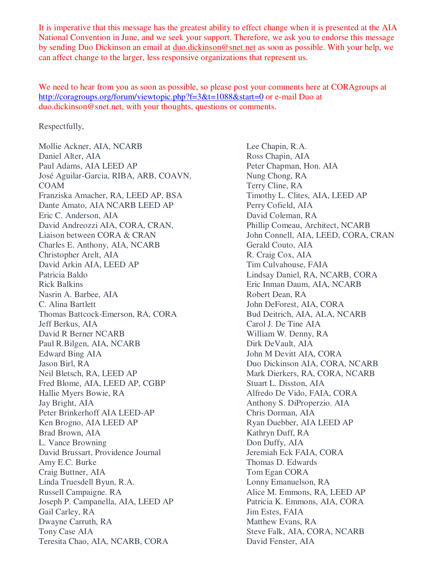It is imperative that this message has the greatest ability to effect change when it is presented at the AIA National Convention in June, and we seek your support. Therefore, we ask you to endorse this message by sending Duo Dickinson an email at duo.dickinson@snet.net as soon as possible. With your help, we can affect change to the larger, less responsive organizations that represent us.

We need to hear from you as soon as possible, so please post your comments here at CORAgroups at http://coragroups.org/forum/viewtopic.php?f=3&t=1088&start=0 or e-mail Duo at duo.dickinson@snet.net, with your thoughts, questions or comments.

Respectfully,

Mollie Ackner, AIA, NCARB Daniel Alter, AIA Paul Adams, AIA LEED AP José Aguilar-Garcia, RIBA, ARB, COAVN, COAM Franziska Amacher, RA, LEED AP, BSA Dante Amato, AIA NCARB LEED AP Eric C. Anderson, AIA David Andreozzi AIA, CORA, CRAN, Liaison between CORA & CRAN Charles E. Anthony, AIA, NCARB Christopher Arelt, AIA David Arkin AIA, LEED AP Patricia Baldo Rick Balkins Nasrin A. Barbee, AIA C. Alina Bartlett Thomas Battcock-Emerson, RA, CORA Jeff Berkus, AIA David R Berner NCARB Paul R.Bilgen, AIA, NCARB Edward Bing AIA Jason Birl, RA Neil Bletsch, RA, LEED AP Fred Blome, AIA, LEED AP, CGBP Hallie Myers Bowie, RA Jay Bright, AIA Peter Brinkerhoff AIA LEED-AP Ken Brogno, AIA LEED AP Brad Brown, AIA L. Vance Browning David Brussart, Providence Journal Amy E.C. Burke Craig Buttner, AIA Linda Truesdell Byun, R.A. Russell Campaigne. RA Joseph P. Campanella, AIA, LEED AP Gail Carley, RA Dwayne Carruth, RA Tony Case AIA Teresita Chao, AIA, NCARB, CORA

Lee Chapin, R.A. Ross Chapin, AIA Peter Chapman, Hon. AIA Nung Chong, RA Terry Cline, RA Timothy L. Clites, AIA, LEED AP Perry Cofield, AIA David Coleman, RA Phillip Comeau, Architect, NCARB John Connell, AIA, LEED, CORA, CRAN Gerald Couto, AIA R. Craig Cox, AIA Tim Culvahouse, FAIA Lindsay Daniel, RA, NCARB, CORA Eric Inman Daum, AIA, NCARB Robert Dean, RA John DeForest, AIA, CORA Bud Deitrich, AIA, ALA, NCARB Carol J. De Tine AIA William W. Denny, RA Dirk DeVault, AIA John M Devitt AIA, CORA Duo Dickinson AIA, CORA, NCARB Mark Dierkers, RA, CORA, NCARB Stuart L. Disston, AIA Alfredo De Vido, FAIA, CORA Anthony S. DiProperzio. AIA Chris Dorman, AIA Ryan Duebber, AIA LEED AP Kathryn Duff, RA Don Duffy, AIA Jeremiah Eck FAIA, CORA Thomas D. Edwards Tom Egan CORA Lonny Emanuelson, RA Alice M. Emmons, RA, LEED AP Patricia K. Emmons, AIA, CORA Jim Estes, FAIA Matthew Evans, RA Steve Falk, AIA, CORA, NCARB David Fenster, AIA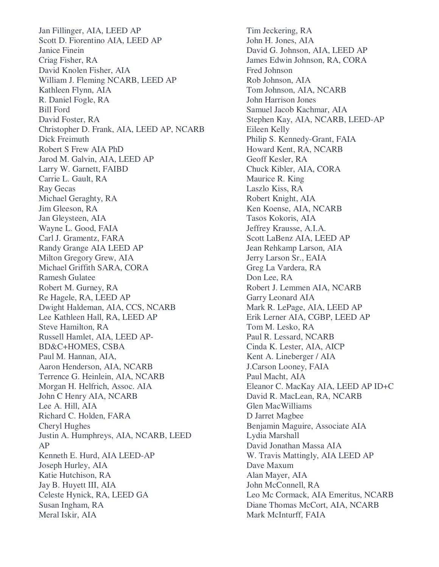Jan Fillinger, AIA, LEED AP Scott D. Fiorentino AIA, LEED AP Janice Finein Criag Fisher, RA David Knolen Fisher, AIA William J. Fleming NCARB, LEED AP Kathleen Flynn, AIA R. Daniel Fogle, RA Bill Ford David Foster, RA Christopher D. Frank, AIA, LEED AP, NCARB Dick Freimuth Robert S Frew AIA PhD Jarod M. Galvin, AIA, LEED AP Larry W. Garnett, FAIBD Carrie L. Gault, RA Ray Gecas Michael Geraghty, RA Jim Gleeson, RA Jan Gleysteen, AIA Wayne L. Good, FAIA Carl J. Gramentz, FARA Randy Grange AIA LEED AP Milton Gregory Grew, AIA Michael Griffith SARA, CORA Ramesh Gulatee Robert M. Gurney, RA Re Hagele, RA, LEED AP Dwight Haldeman, AIA, CCS, NCARB Lee Kathleen Hall, RA, LEED AP Steve Hamilton, RA Russell Hamlet, AIA, LEED AP-BD&C+HOMES, CSBA Paul M. Hannan, AIA, Aaron Henderson, AIA, NCARB Terrence G. Heinlein, AIA, NCARB Morgan H. Helfrich, Assoc. AIA John C Henry AIA, NCARB Lee A. Hill, AIA Richard C. Holden, FARA Cheryl Hughes Justin A. Humphreys, AIA, NCARB, LEED AP Kenneth E. Hurd, AIA LEED-AP Joseph Hurley, AIA Katie Hutchison, RA Jay B. Huyett III, AIA Celeste Hynick, RA, LEED GA Susan Ingham, RA Meral Iskir, AIA

Tim Jeckering, RA John H. Jones, AIA David G. Johnson, AIA, LEED AP James Edwin Johnson, RA, CORA Fred Johnson Rob Johnson, AIA Tom Johnson, AIA, NCARB John Harrison Jones Samuel Jacob Kachmar, AIA Stephen Kay, AIA, NCARB, LEED-AP Eileen Kelly Philip S. Kennedy-Grant, FAIA Howard Kent, RA, NCARB Geoff Kesler, RA Chuck Kibler, AIA, CORA Maurice R. King Laszlo Kiss, RA Robert Knight, AIA Ken Koense, AIA, NCARB Tasos Kokoris, AIA Jeffrey Krausse, A.I.A. Scott LaBenz AIA, LEED AP Jean Rehkamp Larson, AIA Jerry Larson Sr., EAIA Greg La Vardera, RA Don Lee, RA Robert J. Lemmen AIA, NCARB Garry Leonard AIA Mark R. LePage, AIA, LEED AP Erik Lerner AIA, CGBP, LEED AP Tom M. Lesko, RA Paul R. Lessard, NCARB Cinda K. Lester, AIA, AICP Kent A. Lineberger / AIA J.Carson Looney, FAIA Paul Macht, AIA Eleanor C. MacKay AIA, LEED AP ID+C David R. MacLean, RA, NCARB Glen MacWilliams D Jarret Magbee Benjamin Maguire, Associate AIA Lydia Marshall David Jonathan Massa AIA W. Travis Mattingly, AIA LEED AP Dave Maxum Alan Mayer, AIA John McConnell, RA Leo Mc Cormack, AIA Emeritus, NCARB Diane Thomas McCort, AIA, NCARB Mark McInturff, FAIA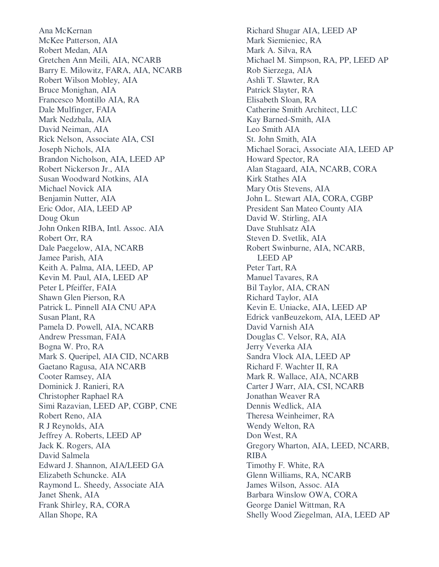Ana McKernan McKee Patterson, AIA Robert Medan, AIA Gretchen Ann Meili, AIA, NCARB Barry E. Milowitz, FARA, AIA, NCARB Robert Wilson Mobley, AIA Bruce Monighan, AIA Francesco Montillo AIA, RA Dale Mulfinger, FAIA Mark Nedzbala, AIA David Neiman, AIA Rick Nelson, Associate AIA, CSI Joseph Nichols, AIA Brandon Nicholson, AIA, LEED AP Robert Nickerson Jr., AIA Susan Woodward Notkins, AIA Michael Novick AIA Benjamin Nutter, AIA Eric Odor, AIA, LEED AP Doug Okun John Onken RIBA, Intl. Assoc. AIA Robert Orr, RA Dale Paegelow, AIA, NCARB Jamee Parish, AIA Keith A. Palma, AIA, LEED, AP Kevin M. Paul, AIA, LEED AP Peter L Pfeiffer, FAIA Shawn Glen Pierson, RA Patrick L. Pinnell AIA CNU APA Susan Plant, RA Pamela D. Powell, AIA, NCARB Andrew Pressman, FAIA Bogna W. Pro, RA Mark S. Queripel, AIA CID, NCARB Gaetano Ragusa, AIA NCARB Cooter Ramsey, AIA Dominick J. Ranieri, RA Christopher Raphael RA Simi Razavian, LEED AP, CGBP, CNE Robert Reno, AIA R J Reynolds, AIA Jeffrey A. Roberts, LEED AP Jack K. Rogers, AIA David Salmela Edward J. Shannon, AIA/LEED GA Elizabeth Schuncke. AIA Raymond L. Sheedy, Associate AIA Janet Shenk, AIA Frank Shirley, RA, CORA Allan Shope, RA

Richard Shugar AIA, LEED AP Mark Siemieniec, RA Mark A. Silva, RA Michael M. Simpson, RA, PP, LEED AP Rob Sierzega, AIA Ashli T. Slawter, RA Patrick Slayter, RA Elisabeth Sloan, RA Catherine Smith Architect, LLC Kay Barned-Smith, AIA Leo Smith AIA St. John Smith, AIA Michael Soraci, Associate AIA, LEED AP Howard Spector, RA Alan Stagaard, AIA, NCARB, CORA Kirk Stathes AIA Mary Otis Stevens, AIA John L. Stewart AIA, CORA, CGBP President San Mateo County AIA David W. Stirling, AIA Dave Stuhlsatz AIA Steven D. Svetlik, AIA Robert Swinburne, AIA, NCARB, LEED AP Peter Tart, RA Manuel Tavares, RA Bil Taylor, AIA, CRAN Richard Taylor, AIA Kevin E. Uniacke, AIA, LEED AP Edrick vanBeuzekom, AIA, LEED AP David Varnish AIA Douglas C. Velsor, RA, AIA Jerry Veverka AIA Sandra Vlock AIA, LEED AP Richard F. Wachter II, RA Mark R. Wallace, AIA, NCARB Carter J Warr, AIA, CSI, NCARB Jonathan Weaver RA Dennis Wedlick, AIA Theresa Weinheimer, RA Wendy Welton, RA Don West, RA Gregory Wharton, AIA, LEED, NCARB, RIBA Timothy F. White, RA Glenn Williams, RA, NCARB James Wilson, Assoc. AIA Barbara Winslow OWA, CORA George Daniel Wittman, RA Shelly Wood Ziegelman, AIA, LEED AP